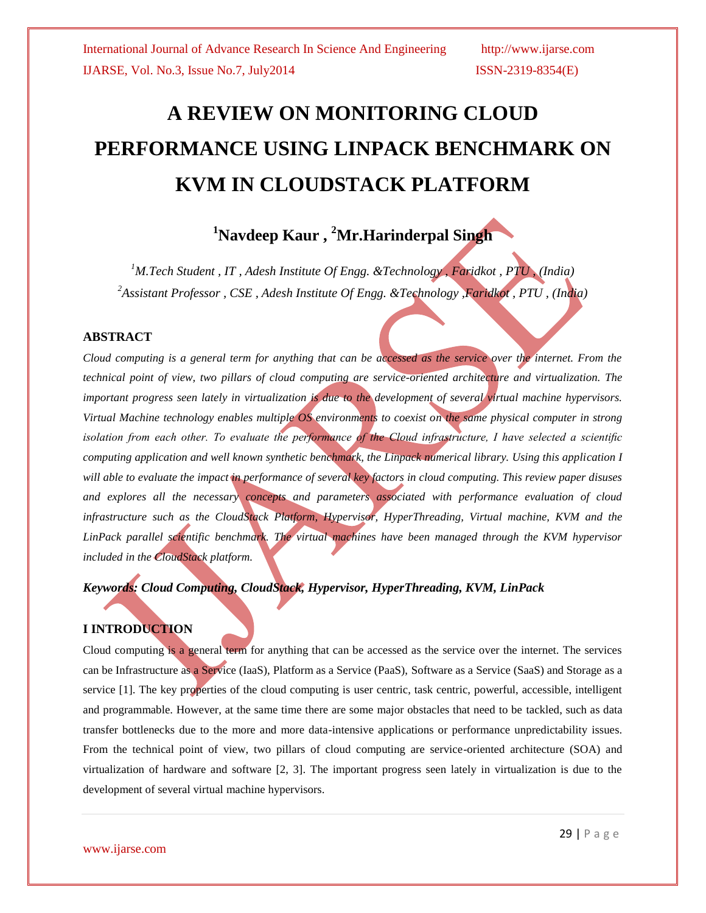# **A REVIEW ON MONITORING CLOUD PERFORMANCE USING LINPACK BENCHMARK ON KVM IN CLOUDSTACK PLATFORM**

# **<sup>1</sup>Navdeep Kaur , <sup>2</sup>Mr.Harinderpal Singh**

*<sup>1</sup>M.Tech Student , IT , Adesh Institute Of Engg. &Technology , Faridkot , PTU , (India) <sup>2</sup>Assistant Professor , CSE , Adesh Institute Of Engg. &Technology ,Faridkot , PTU , (India)*

### **ABSTRACT**

*Cloud computing is a general term for anything that can be accessed as the service over the internet. From the technical point of view, two pillars of cloud computing are service-oriented architecture and virtualization. The important progress seen lately in virtualization is due to the development of several virtual machine hypervisors. Virtual Machine technology enables multiple OS environments to coexist on the same physical computer in strong isolation from each other. To evaluate the performance of the Cloud infrastructure, I have selected a scientific computing application and well known synthetic benchmark, the Linpack numerical library. Using this application I will able to evaluate the impact in performance of several key factors in cloud computing. This review paper disuses and explores all the necessary concepts and parameters associated with performance evaluation of cloud infrastructure such as the CloudStack Platform, Hypervisor, HyperThreading, Virtual machine, KVM and the LinPack parallel scientific benchmark. The virtual machines have been managed through the KVM hypervisor included in the CloudStack platform.*

# *Keywords: Cloud Computing, CloudStack, Hypervisor, HyperThreading, KVM, LinPack*

### **I INTRODUCTION**

Cloud computing is a general term for anything that can be accessed as the service over the internet. The services can be Infrastructure as a Service (IaaS), Platform as a Service (PaaS), Software as a Service (SaaS) and Storage as a service [1]. The key properties of the cloud computing is user centric, task centric, powerful, accessible, intelligent and programmable. However, at the same time there are some major obstacles that need to be tackled, such as data transfer bottlenecks due to the more and more data-intensive applications or performance unpredictability issues. From the technical point of view, two pillars of cloud computing are service-oriented architecture (SOA) and virtualization of hardware and software [2, 3]. The important progress seen lately in virtualization is due to the development of several virtual machine hypervisors.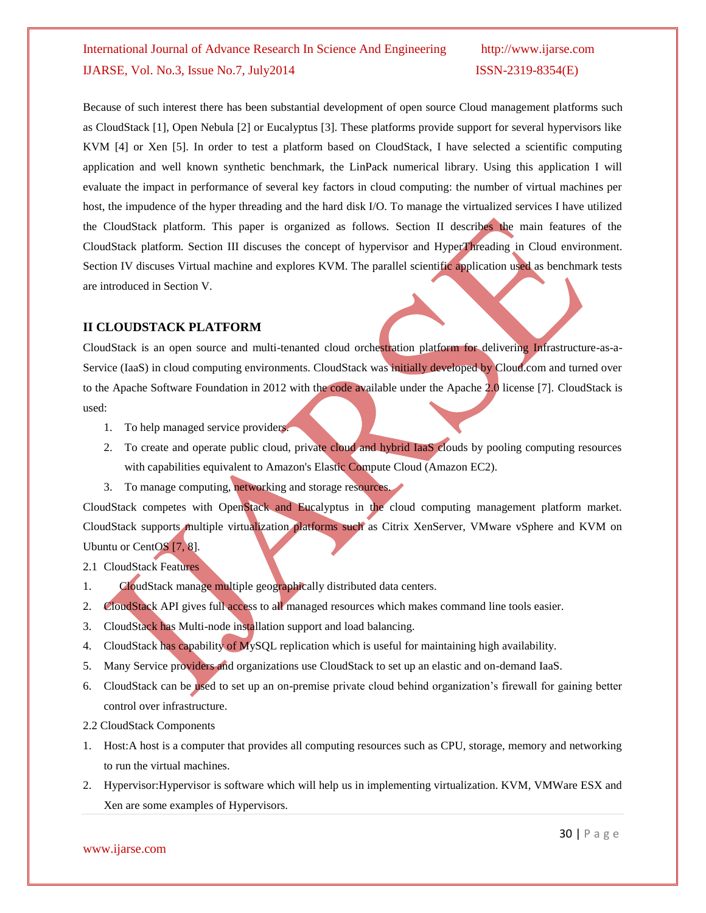Because of such interest there has been substantial development of open source Cloud management platforms such as CloudStack [1], Open Nebula [2] or Eucalyptus [3]. These platforms provide support for several hypervisors like KVM [4] or Xen [5]. In order to test a platform based on CloudStack, I have selected a scientific computing application and well known synthetic benchmark, the LinPack numerical library. Using this application I will evaluate the impact in performance of several key factors in cloud computing: the number of virtual machines per host, the impudence of the hyper threading and the hard disk I/O. To manage the virtualized services I have utilized the CloudStack platform. This paper is organized as follows. Section II describes the main features of the CloudStack platform. Section III discuses the concept of hypervisor and HyperThreading in Cloud environment. Section IV discuses Virtual machine and explores KVM. The parallel scientific application used as benchmark tests are introduced in Section V.

### **II CLOUDSTACK PLATFORM**

CloudStack is an open source and multi-tenanted cloud orchestration platform for delivering Infrastructure-as-a-Service (IaaS) in cloud computing environments. CloudStack was initially developed by Cloud.com and turned over to the Apache Software Foundation in 2012 with the code available under the Apache 2.0 license [7]. CloudStack is used:

- 1. To help managed service providers.
- 2. To create and operate public cloud, private cloud and hybrid IaaS clouds by pooling computing resources with capabilities equivalent to Amazon's Elastic Compute Cloud (Amazon EC2).
- 3. To manage computing, networking and storage resources.

CloudStack competes with OpenStack and Eucalyptus in the cloud computing management platform market. CloudStack supports multiple virtualization platforms such as Citrix XenServer, VMware vSphere and KVM on Ubuntu or CentOS [7, 8].

- 2.1 CloudStack Features
- 1. CloudStack manage multiple geographically distributed data centers.
- 2. CloudStack API gives full access to all managed resources which makes command line tools easier.
- 3. CloudStack has Multi-node installation support and load balancing.
- 4. CloudStack has capability of MySQL replication which is useful for maintaining high availability.
- 5. Many Service providers and organizations use CloudStack to set up an elastic and on-demand IaaS.
- 6. CloudStack can be used to set up an on-premise private cloud behind organization's firewall for gaining better control over infrastructure.
- 2.2 CloudStack Components
- 1. Host:A host is a computer that provides all computing resources such as CPU, storage, memory and networking to run the virtual machines.
- 2. Hypervisor:Hypervisor is software which will help us in implementing virtualization. KVM, VMWare ESX and Xen are some examples of Hypervisors.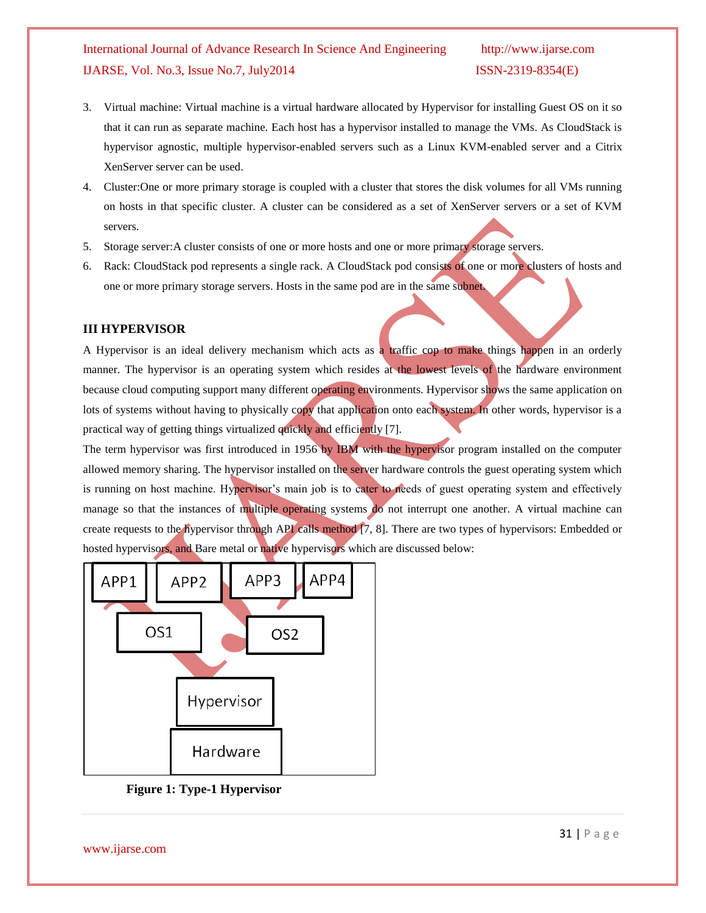- 3. Virtual machine: Virtual machine is a virtual hardware allocated by Hypervisor for installing Guest OS on it so that it can run as separate machine. Each host has a hypervisor installed to manage the VMs. As CloudStack is hypervisor agnostic, multiple hypervisor-enabled servers such as a Linux KVM-enabled server and a Citrix XenServer server can be used.
- 4. Cluster:One or more primary storage is coupled with a cluster that stores the disk volumes for all VMs running on hosts in that specific cluster. A cluster can be considered as a set of XenServer servers or a set of KVM servers.
- 5. Storage server:A cluster consists of one or more hosts and one or more primary storage servers.
- 6. Rack: CloudStack pod represents a single rack. A CloudStack pod consists of one or more clusters of hosts and one or more primary storage servers. Hosts in the same pod are in the same subnet.

### **III HYPERVISOR**

A Hypervisor is an ideal delivery mechanism which acts as a traffic cop to make things happen in an orderly manner. The hypervisor is an operating system which resides at the lowest levels of the hardware environment because cloud computing support many different operating environments. Hypervisor shows the same application on lots of systems without having to physically copy that application onto each system. In other words, hypervisor is a practical way of getting things virtualized quickly and efficiently [7].

The term hypervisor was first introduced in 1956 by IBM with the hypervisor program installed on the computer allowed memory sharing. The hypervisor installed on the server hardware controls the guest operating system which is running on host machine. Hypervisor's main job is to cater to needs of guest operating system and effectively manage so that the instances of multiple operating systems do not interrupt one another. A virtual machine can create requests to the hypervisor through API calls method [7, 8]. There are two types of hypervisors: Embedded or hosted hypervisors, and Bare metal or native hypervisors which are discussed below:



**Figure 1: Type-1 Hypervisor**

www.ijarse.com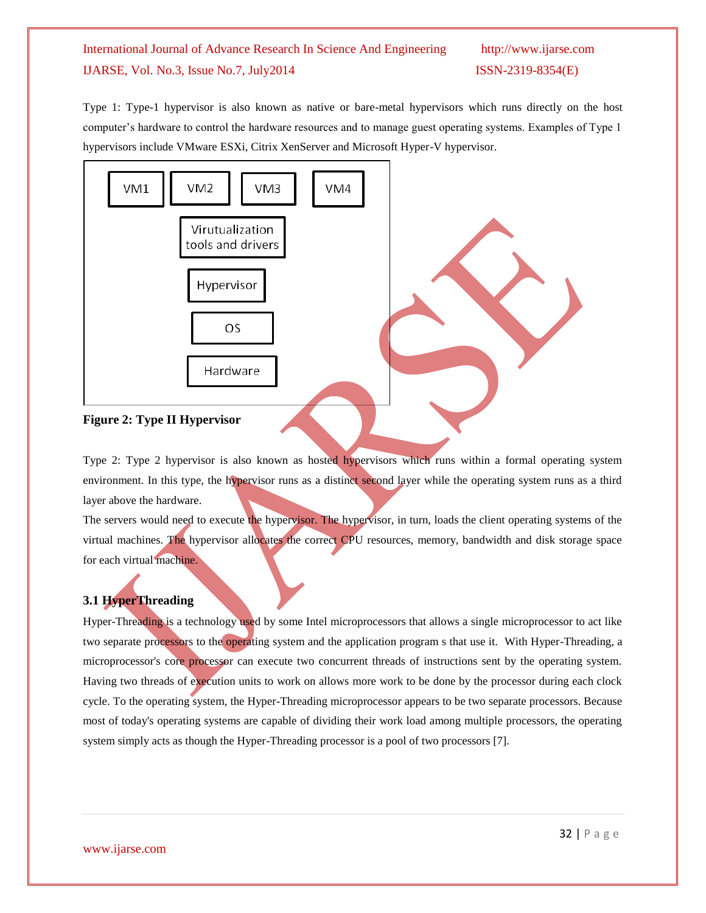Type 1: Type-1 hypervisor is also known as native or bare-metal hypervisors which runs directly on the host computer's hardware to control the hardware resources and to manage guest operating systems. Examples of Type 1 hypervisors include VMware ESXi, Citrix XenServer and Microsoft Hyper-V hypervisor.



Type 2: Type 2 hypervisor is also known as hosted hypervisors which runs within a formal operating system environment. In this type, the hypervisor runs as a distinct second layer while the operating system runs as a third layer above the hardware.

The servers would need to execute the hypervisor. The hypervisor, in turn, loads the client operating systems of the virtual machines. The hypervisor allocates the correct CPU resources, memory, bandwidth and disk storage space for each virtual machine.

# **3.1 HyperThreading**

Hyper-Threading is a technology used by some Intel microprocessors that allows a single microprocessor to act like two separate processors to the operating system and the application program s that use it. With Hyper-Threading, a microprocessor's core processor can execute two concurrent threads of instructions sent by the operating system. Having two threads of execution units to work on allows more work to be done by the processor during each clock cycle. To the operating system, the Hyper-Threading microprocessor appears to be two separate processors. Because most of today's operating systems are capable of dividing their work load among multiple processors, the operating system simply acts as though the Hyper-Threading processor is a pool of two processors [7].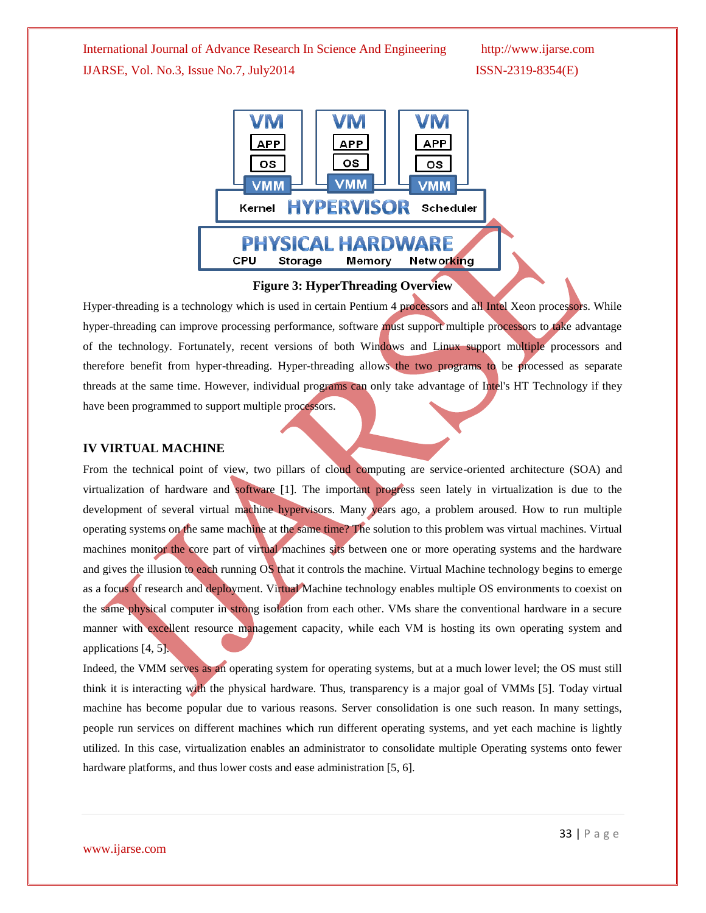

### **Figure 3: HyperThreading Overview**

Hyper-threading is a technology which is used in certain Pentium 4 processors and all Intel Xeon processors. While hyper-threading can improve processing performance, software must support multiple processors to take advantage of the technology. Fortunately, recent versions of both Windows and Linux support multiple processors and therefore benefit from hyper-threading. Hyper-threading allows the two programs to be processed as separate threads at the same time. However, individual programs can only take advantage of Intel's HT Technology if they have been programmed to support multiple processors.

#### **IV VIRTUAL MACHINE**

From the technical point of view, two pillars of cloud computing are service-oriented architecture (SOA) and virtualization of hardware and software [1]. The important progress seen lately in virtualization is due to the development of several virtual machine hypervisors. Many years ago, a problem aroused. How to run multiple operating systems on the same machine at the same time? The solution to this problem was virtual machines. Virtual machines monitor the core part of virtual machines sits between one or more operating systems and the hardware and gives the illusion to each running OS that it controls the machine. Virtual Machine technology begins to emerge as a focus of research and deployment. Virtual Machine technology enables multiple OS environments to coexist on the same physical computer in strong isolation from each other. VMs share the conventional hardware in a secure manner with excellent resource management capacity, while each VM is hosting its own operating system and applications [4, 5].

Indeed, the VMM serves as an operating system for operating systems, but at a much lower level; the OS must still think it is interacting with the physical hardware. Thus, transparency is a major goal of VMMs [5]. Today virtual machine has become popular due to various reasons. Server consolidation is one such reason. In many settings, people run services on different machines which run different operating systems, and yet each machine is lightly utilized. In this case, virtualization enables an administrator to consolidate multiple Operating systems onto fewer hardware platforms, and thus lower costs and ease administration [5, 6].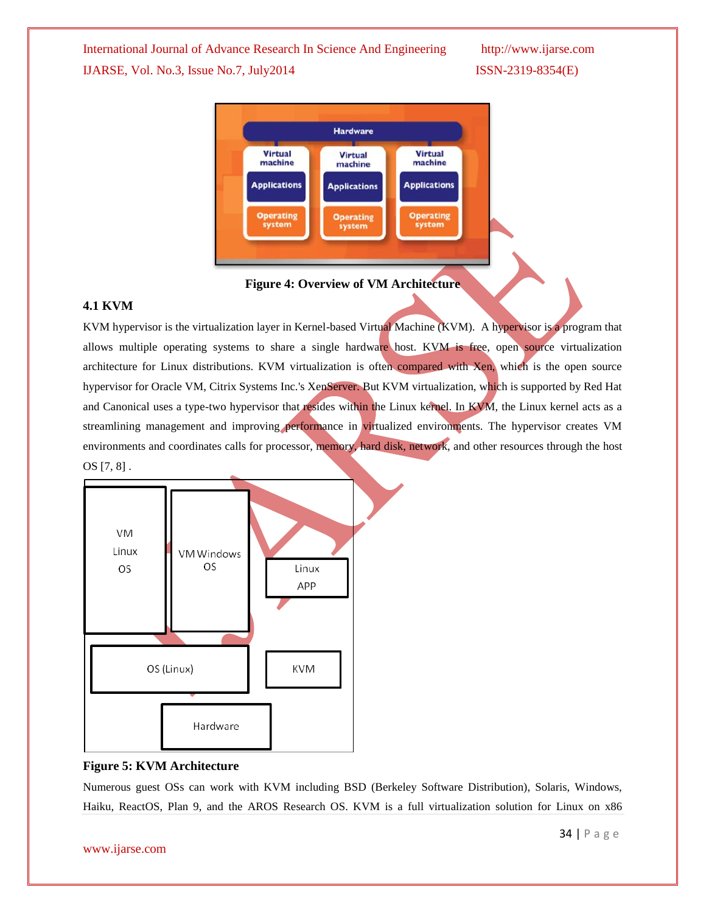

## **Figure 4: Overview of VM Architecture**

#### **4.1 KVM**

KVM hypervisor is the virtualization layer in Kernel-based Virtual Machine (KVM). A hypervisor is a program that allows multiple operating systems to share a single hardware host. KVM is free, open source virtualization architecture for Linux distributions. KVM virtualization is often compared with Xen, which is the open source hypervisor for Oracle VM, Citrix Systems Inc.'s XenServer. But KVM virtualization, which is supported by Red Hat and Canonical uses a type-two hypervisor that resides within the Linux kernel. In KVM, the Linux kernel acts as a streamlining management and improving performance in virtualized environments. The hypervisor creates VM environments and coordinates calls for processor, memory, hard disk, network, and other resources through the host OS [7, 8] .



### **Figure 5: KVM Architecture**

Numerous guest OSs can work with KVM including BSD (Berkeley Software Distribution), Solaris, Windows, Haiku, ReactOS, Plan 9, and the AROS Research OS. KVM is a full virtualization solution for Linux on x86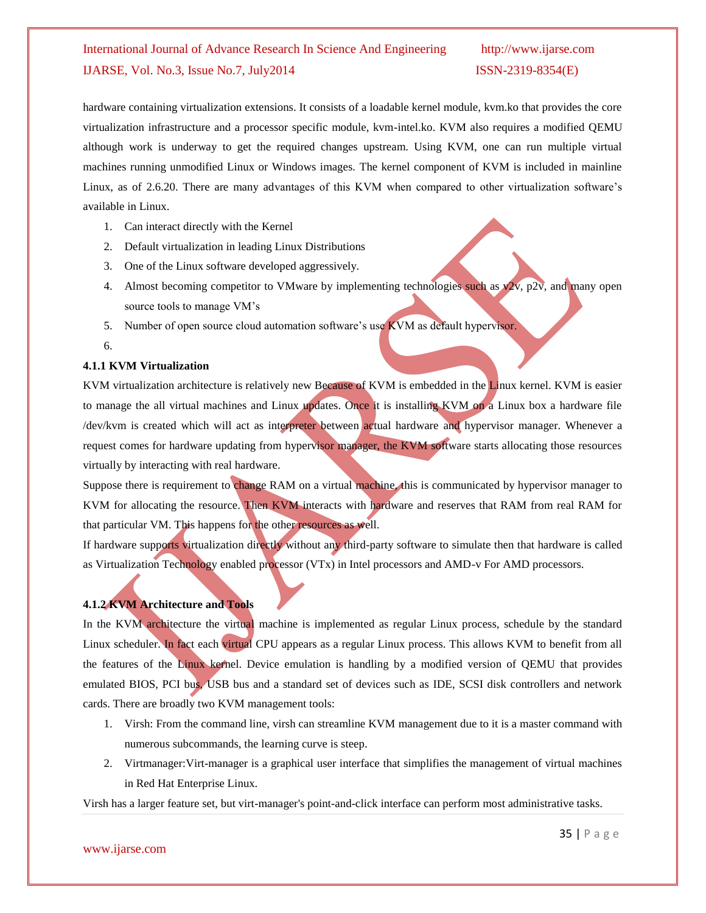hardware containing virtualization extensions. It consists of a loadable kernel module, kvm.ko that provides the core virtualization infrastructure and a processor specific module, kvm-intel.ko. KVM also requires a modified QEMU although work is underway to get the required changes upstream. Using KVM, one can run multiple virtual machines running unmodified Linux or Windows images. The kernel component of KVM is included in mainline Linux, as of 2.6.20. There are many advantages of this KVM when compared to other virtualization software's available in Linux.

- 1. Can interact directly with the Kernel
- 2. Default virtualization in leading Linux Distributions
- 3. One of the Linux software developed aggressively.
- 4. Almost becoming competitor to VMware by implementing technologies such as  $v_2v$ , p2v, and many open source tools to manage VM's
- 5. Number of open source cloud automation software's use KVM as default hypervisor.
- 6.

#### **4.1.1 KVM Virtualization**

KVM virtualization architecture is relatively new Because of KVM is embedded in the Linux kernel. KVM is easier to manage the all virtual machines and Linux updates. Once it is installing KVM on a Linux box a hardware file /dev/kvm is created which will act as interpreter between actual hardware and hypervisor manager. Whenever a request comes for hardware updating from hypervisor manager, the KVM software starts allocating those resources virtually by interacting with real hardware.

Suppose there is requirement to change RAM on a virtual machine, this is communicated by hypervisor manager to KVM for allocating the resource. Then KVM interacts with hardware and reserves that RAM from real RAM for that particular VM. This happens for the other resources as well.

If hardware supports virtualization directly without any third-party software to simulate then that hardware is called as Virtualization Technology enabled processor (VTx) in Intel processors and AMD-v For AMD processors.

#### **4.1.2 KVM Architecture and Tools**

In the KVM architecture the virtual machine is implemented as regular Linux process, schedule by the standard Linux scheduler. In fact each virtual CPU appears as a regular Linux process. This allows KVM to benefit from all the features of the Linux kernel. Device emulation is handling by a modified version of QEMU that provides emulated BIOS, PCI bus, USB bus and a standard set of devices such as IDE, SCSI disk controllers and network cards. There are broadly two KVM management tools:

- 1. Virsh: From the command line, virsh can streamline KVM management due to it is a master command with numerous subcommands, the learning curve is steep.
- 2. Virtmanager:Virt-manager is a graphical user interface that simplifies the management of virtual machines in Red Hat Enterprise Linux.

Virsh has a larger feature set, but virt-manager's point-and-click interface can perform most administrative tasks.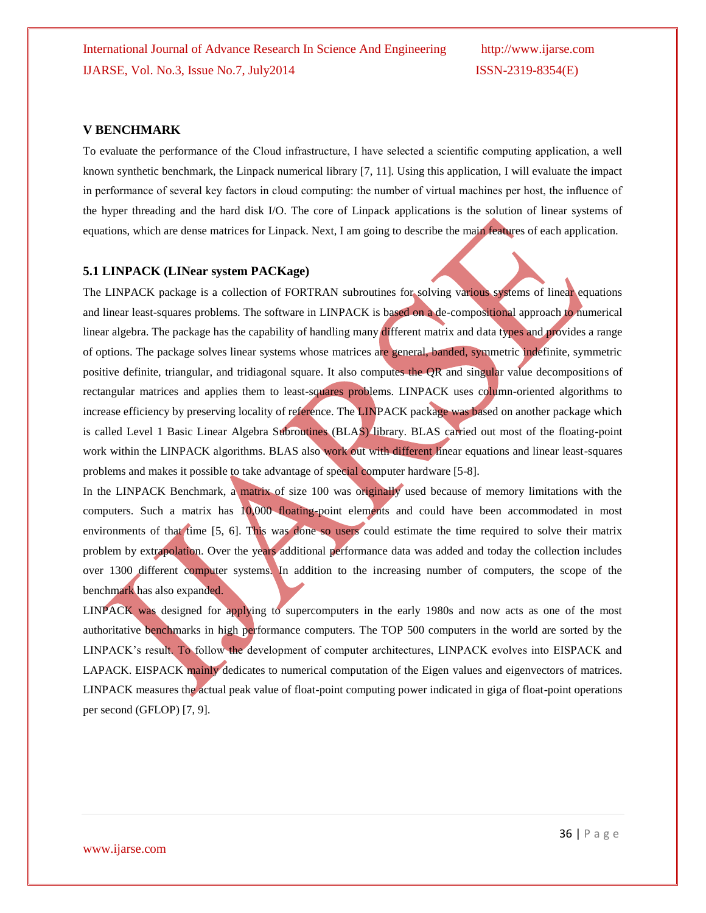#### **V BENCHMARK**

To evaluate the performance of the Cloud infrastructure, I have selected a scientific computing application, a well known synthetic benchmark, the Linpack numerical library [7, 11]. Using this application, I will evaluate the impact in performance of several key factors in cloud computing: the number of virtual machines per host, the influence of the hyper threading and the hard disk I/O. The core of Linpack applications is the solution of linear systems of equations, which are dense matrices for Linpack. Next, I am going to describe the main features of each application.

#### **5.1 LINPACK (LINear system PACKage)**

The LINPACK package is a collection of FORTRAN subroutines for solving various systems of linear equations and linear least-squares problems. The software in LINPACK is based on a de-compositional approach to numerical linear algebra. The package has the capability of handling many different matrix and data types and provides a range of options. The package solves linear systems whose matrices are general, banded, symmetric indefinite, symmetric positive definite, triangular, and tridiagonal square. It also computes the QR and singular value decompositions of rectangular matrices and applies them to least-squares problems. LINPACK uses column-oriented algorithms to increase efficiency by preserving locality of reference. The LINPACK package was based on another package which is called Level 1 Basic Linear Algebra Subroutines (BLAS) library. BLAS carried out most of the floating-point work within the LINPACK algorithms. BLAS also work out with different linear equations and linear least-squares problems and makes it possible to take advantage of special computer hardware [5-8].

In the LINPACK Benchmark, a matrix of size 100 was originally used because of memory limitations with the computers. Such a matrix has 10,000 floating-point elements and could have been accommodated in most environments of that time [5, 6]. This was done so users could estimate the time required to solve their matrix problem by extrapolation. Over the years additional performance data was added and today the collection includes over 1300 different computer systems. In addition to the increasing number of computers, the scope of the benchmark has also expanded.

LINPACK was designed for applying to supercomputers in the early 1980s and now acts as one of the most authoritative benchmarks in high performance computers. The TOP 500 computers in the world are sorted by the LINPACK's result. To follow the development of computer architectures, LINPACK evolves into EISPACK and LAPACK. EISPACK mainly dedicates to numerical computation of the Eigen values and eigenvectors of matrices. LINPACK measures the actual peak value of float-point computing power indicated in giga of float-point operations per second (GFLOP) [7, 9].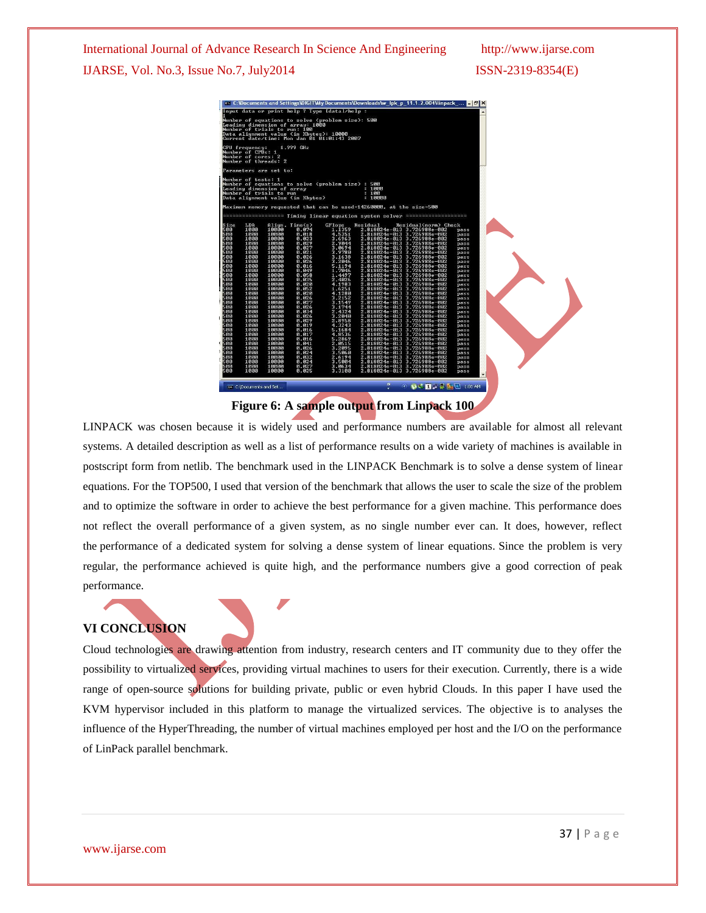

**Figure 6: A sample output from Linpack 100**

LINPACK was chosen because it is widely used and performance numbers are available for almost all relevant systems. A detailed description as well as a list of performance results on a wide variety of machines is available in postscript form from netlib. The benchmark used in the LINPACK Benchmark is to solve a dense system of linear equations. For the TOP500, I used that version of the benchmark that allows the user to scale the size of the problem and to optimize the software in order to achieve the best performance for a given machine. This performance does not reflect the overall performance of a given system, as no single number ever can. It does, however, reflect the performance of a dedicated system for solving a dense system of linear equations*.* Since the problem is very regular, the performance achieved is quite high, and the performance numbers give a good correction of peak performance.

# **VI CONCLUSION**

Cloud technologies are drawing attention from industry, research centers and IT community due to they offer the possibility to virtualized services, providing virtual machines to users for their execution. Currently, there is a wide range of open-source solutions for building private, public or even hybrid Clouds. In this paper I have used the KVM hypervisor included in this platform to manage the virtualized services. The objective is to analyses the influence of the HyperThreading, the number of virtual machines employed per host and the I/O on the performance of LinPack parallel benchmark.